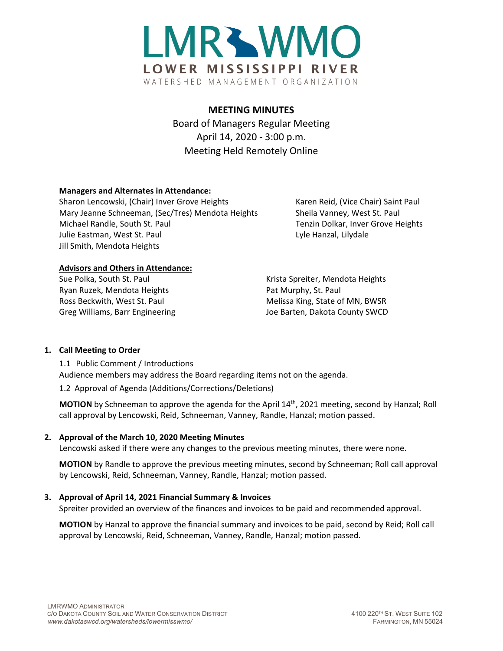

# **MEETING MINUTES**

Board of Managers Regular Meeting April 14, 2020 - 3:00 p.m. Meeting Held Remotely Online

## **Managers and Alternates in Attendance:**

Sharon Lencowski, (Chair) Inver Grove Heights Karen Reid, (Vice Chair) Saint Paul Mary Jeanne Schneeman, (Sec/Tres) Mendota Heights Sheila Vanney, West St. Paul Michael Randle, South St. Paul Tenzin Dolkar, Inver Grove Heights Julie Eastman, West St. Paul Lyle Hanzal, Lilydale Jill Smith, Mendota Heights

#### **Advisors and Others in Attendance:**

Ryan Ruzek, Mendota Heights **Pat Murphy, St. Paul** 

Sue Polka, South St. Paul November 2012 Research Research Krista Spreiter, Mendota Heights Ross Beckwith, West St. Paul Melissa King, State of MN, BWSR Greg Williams, Barr Engineering The Matter of Barten, Dakota County SWCD

#### **1. Call Meeting to Order**

1.1 Public Comment / Introductions Audience members may address the Board regarding items not on the agenda.

1.2 Approval of Agenda (Additions/Corrections/Deletions)

**MOTION** by Schneeman to approve the agenda for the April 14th, 2021 meeting, second by Hanzal; Roll call approval by Lencowski, Reid, Schneeman, Vanney, Randle, Hanzal; motion passed.

#### **2. Approval of the March 10, 2020 Meeting Minutes**

Lencowski asked if there were any changes to the previous meeting minutes, there were none.

**MOTION** by Randle to approve the previous meeting minutes, second by Schneeman; Roll call approval by Lencowski, Reid, Schneeman, Vanney, Randle, Hanzal; motion passed.

# **3. Approval of April 14, 2021 Financial Summary & Invoices**

Spreiter provided an overview of the finances and invoices to be paid and recommended approval.

**MOTION** by Hanzal to approve the financial summary and invoices to be paid, second by Reid; Roll call approval by Lencowski, Reid, Schneeman, Vanney, Randle, Hanzal; motion passed.